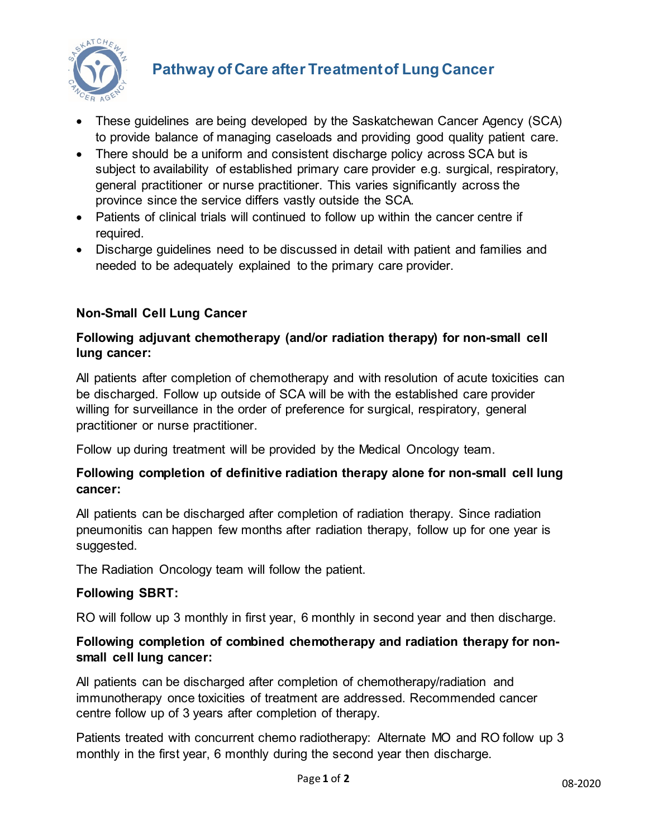

# **Pathway of Care after Treatment of Lung Cancer**

- These guidelines are being developed by the Saskatchewan Cancer Agency (SCA) to provide balance of managing caseloads and providing good quality patient care.
- There should be a uniform and consistent discharge policy across SCA but is subject to availability of established primary care provider e.g. surgical, respiratory, general practitioner or nurse practitioner. This varies significantly across the province since the service differs vastly outside the SCA.
- Patients of clinical trials will continued to follow up within the cancer centre if required.
- Discharge guidelines need to be discussed in detail with patient and families and needed to be adequately explained to the primary care provider.

# **Non-Small Cell Lung Cancer**

#### **Following adjuvant chemotherapy (and/or radiation therapy) for non-small cell lung cancer:**

All patients after completion of chemotherapy and with resolution of acute toxicities can be discharged. Follow up outside of SCA will be with the established care provider willing for surveillance in the order of preference for surgical, respiratory, general practitioner or nurse practitioner.

Follow up during treatment will be provided by the Medical Oncology team.

## **Following completion of definitive radiation therapy alone for non-small cell lung cancer:**

All patients can be discharged after completion of radiation therapy. Since radiation pneumonitis can happen few months after radiation therapy, follow up for one year is suggested.

The Radiation Oncology team will follow the patient.

## **Following SBRT:**

RO will follow up 3 monthly in first year, 6 monthly in second year and then discharge.

## **Following completion of combined chemotherapy and radiation therapy for nonsmall cell lung cancer:**

All patients can be discharged after completion of chemotherapy/radiation and immunotherapy once toxicities of treatment are addressed. Recommended cancer centre follow up of 3 years after completion of therapy.

Patients treated with concurrent chemo radiotherapy: Alternate MO and RO follow up 3 monthly in the first year, 6 monthly during the second year then discharge.